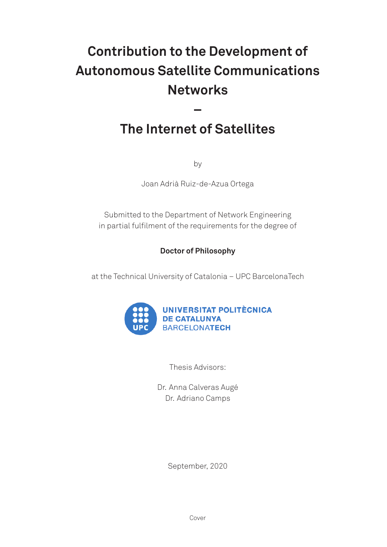# **Contribution to the Development of Autonomous Satellite Communications Networks**

### The Internet of Satellites

by

Joan Adrià Ruiz-de-Azua Ortega

Submitted to the Department of Network Engineering in partial fulfilment of the requirements for the degree of

### **Doctor of Philosophy**

at the Technical University of Catalonia - UPC BarcelonaTech



Thesis Advisors:

Dr. Anna Calveras Augé Dr. Adriano Camps

September, 2020